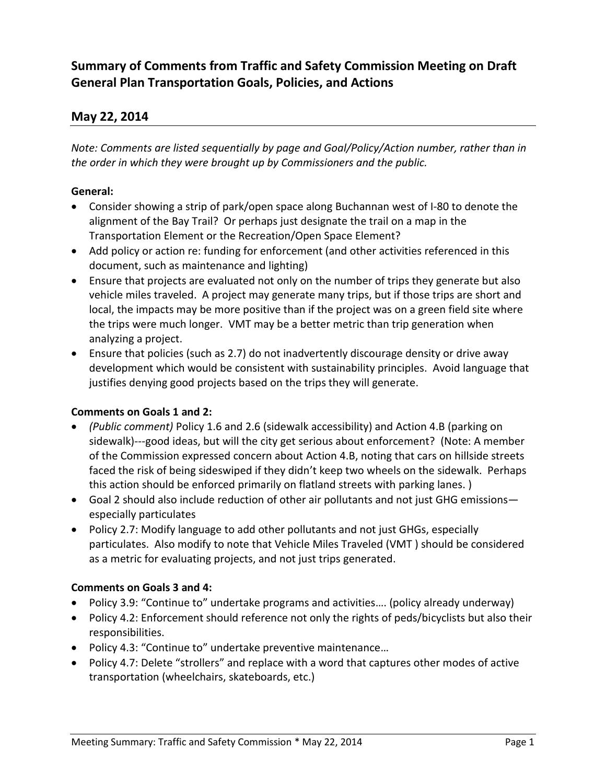# **Summary of Comments from Traffic and Safety Commission Meeting on Draft General Plan Transportation Goals, Policies, and Actions**

## **May 22, 2014**

*Note: Comments are listed sequentially by page and Goal/Policy/Action number, rather than in the order in which they were brought up by Commissioners and the public.*

### **General:**

- Consider showing a strip of park/open space along Buchannan west of I-80 to denote the alignment of the Bay Trail? Or perhaps just designate the trail on a map in the Transportation Element or the Recreation/Open Space Element?
- Add policy or action re: funding for enforcement (and other activities referenced in this document, such as maintenance and lighting)
- Ensure that projects are evaluated not only on the number of trips they generate but also vehicle miles traveled. A project may generate many trips, but if those trips are short and local, the impacts may be more positive than if the project was on a green field site where the trips were much longer. VMT may be a better metric than trip generation when analyzing a project.
- Ensure that policies (such as 2.7) do not inadvertently discourage density or drive away development which would be consistent with sustainability principles. Avoid language that justifies denying good projects based on the trips they will generate.

#### **Comments on Goals 1 and 2:**

- *(Public comment)* Policy 1.6 and 2.6 (sidewalk accessibility) and Action 4.B (parking on sidewalk)---good ideas, but will the city get serious about enforcement? (Note: A member of the Commission expressed concern about Action 4.B, noting that cars on hillside streets faced the risk of being sideswiped if they didn't keep two wheels on the sidewalk. Perhaps this action should be enforced primarily on flatland streets with parking lanes. )
- Goal 2 should also include reduction of other air pollutants and not just GHG emissions especially particulates
- Policy 2.7: Modify language to add other pollutants and not just GHGs, especially particulates. Also modify to note that Vehicle Miles Traveled (VMT ) should be considered as a metric for evaluating projects, and not just trips generated.

#### **Comments on Goals 3 and 4:**

- Policy 3.9: "Continue to" undertake programs and activities…. (policy already underway)
- Policy 4.2: Enforcement should reference not only the rights of peds/bicyclists but also their responsibilities.
- Policy 4.3: "Continue to" undertake preventive maintenance...
- Policy 4.7: Delete "strollers" and replace with a word that captures other modes of active transportation (wheelchairs, skateboards, etc.)